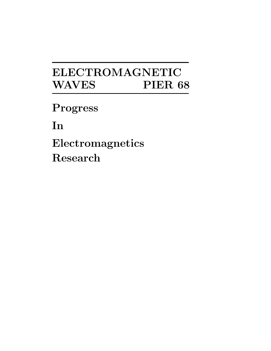# **ELECTROMAGNETIC WAVES PIER 68**

**Progress**

**In**

**Electromagnetics Research**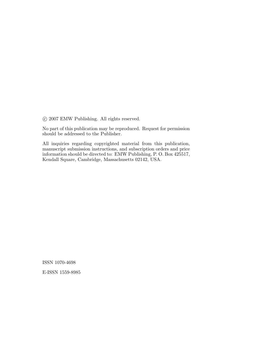c 2007 EMW Publishing. All rights reserved.

No part of this publication may be reproduced. Request for permission should be addressed to the Publisher.

All inquiries regarding copyrighted material from this publication, manuscript submission instructions, and subscription orders and price information should be directed to: EMW Publishing, P. O. Box 425517, Kendall Square, Cambridge, Massachusetts 02142, USA.

ISSN 1070-4698

E-ISSN 1559-8985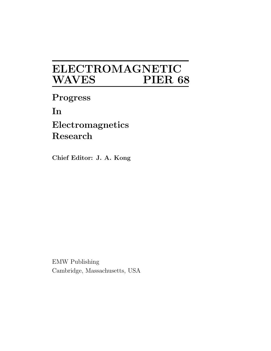# **ELECTROMAGNETIC**  $\bf WAVES$

**Progress**

**In**

**Electromagnetics Research**

**Chief Editor: J. A. Kong** 

EMW Publishing Cambridge, Massachusetts, USA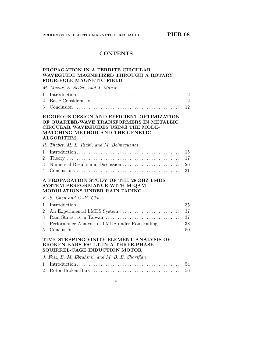# **CONTENTS**

# **PROPAGATION IN A FERRITE CIRCULAR WAVEGUIDE MAGNETIZED THROUGH A ROTARY FOUR-POLE MAGNETIC FIELD**

M. Mazur, E. Sędek, and J. Mazur

# **RIGOROUS DESIGN AND EFFICIENT OPTIMIZATION OF QUARTER-WAVE TRANSFORMERS IN METALLIC CIRCULAR WAVEGUIDES USING THE MODE-MATCHING METHOD AND THE GENETIC ALGORITHM**

| R. Thabet, M. L. Riabi, and M. Belmequenai |  |
|--------------------------------------------|--|
|                                            |  |
|                                            |  |
|                                            |  |
|                                            |  |
|                                            |  |

### **A PROPAGATION STUDY OF THE 28 GHZ LMDS SYSTEM PERFORMANCE WITH M-QAM MODULATIONS UNDER RAIN FADING**

K.-S. Chen and C.-Y. Chu

| 4 Performance Analysis of LMDS under Rain Fading  38 |  |
|------------------------------------------------------|--|
|                                                      |  |
|                                                      |  |

# **TIME STEPPING FINITE ELEMENT ANALYSIS OF BROKEN BARS FAULT IN A THREE-PHASE SQUIRREL-CAGE INDUCTION MOTOR**

| J. Faiz, B. M. Ebrahimi, and M. B. B. Sharifian |  |
|-------------------------------------------------|--|
|                                                 |  |
|                                                 |  |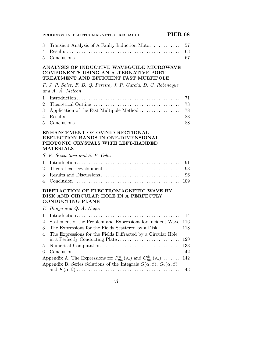|                                    | <b>PIER 68</b><br>PROGRESS IN ELECTROMAGNETICS RESEARCH                                                                                                                      |                            |
|------------------------------------|------------------------------------------------------------------------------------------------------------------------------------------------------------------------------|----------------------------|
| 3<br>4<br>5                        | Transient Analysis of A Faulty Induction Motor                                                                                                                               | 57<br>63<br>67             |
|                                    | ANALYSIS OF INDUCTIVE WAVEGUIDE MICROWAVE<br><b>COMPONENTS USING AN ALTERNATIVE PORT</b><br>TREATMENT AND EFFICIENT FAST MULTIPOLE                                           |                            |
|                                    | F. J. P. Soler, F. D. Q. Pereira, J. P. García, D. C. Rebenaque<br>and A. Á. Melcón                                                                                          |                            |
| 1<br>$\overline{2}$<br>3<br>4<br>5 | Application of the Fast Multipole Method                                                                                                                                     | 71<br>73<br>78<br>83<br>88 |
|                                    | ENHANCEMENT OF OMNIDIRECTIONAL<br>REFLECTION BANDS IN ONE-DIMENSIONAL<br>PHOTONIC CRYSTALS WITH LEFT-HANDED<br><b>MATERIALS</b>                                              |                            |
|                                    | S. K. Srivastava and S. P. Ojha                                                                                                                                              |                            |
| 1<br>$\overline{2}$<br>3           |                                                                                                                                                                              | 91<br>93<br>96             |
| 4                                  | $Conclusion \dots \dots \dots \dots \dots \dots \dots \dots \dots \dots \dots \dots \dots \dots \dots \dots$                                                                 | 109                        |
|                                    | DIFFRACTION OF ELECTROMAGNETIC WAVE BY<br>DISK AND CIRCULAR HOLE IN A PERFECTLY<br><b>CONDUCTING PLANE</b>                                                                   |                            |
|                                    | K. Hongo and Q. A. Naqvi                                                                                                                                                     |                            |
| 1                                  |                                                                                                                                                                              |                            |
| $\overline{2}$                     | Statement of the Problem and Expressions for Incident Wave 116                                                                                                               |                            |
| $\boldsymbol{3}$                   | The Expressions for the Fields Scattered by a Disk $\dots \dots \dots$ 118                                                                                                   |                            |
| 4                                  | The Expressions for the Fields Diffracted by a Circular Hole                                                                                                                 | 129                        |
| 5                                  |                                                                                                                                                                              | 133                        |
| 6                                  |                                                                                                                                                                              | 142                        |
|                                    | Appendix A. The Expressions for $F_{mn}^{\pm}(\rho_a)$ and $G_{mn}^{\pm}(\rho_a)$<br>Appendix B. Series Solutions of the Integrals $G(\alpha, \beta)$ , $G_2(\alpha, \beta)$ | 142                        |
|                                    |                                                                                                                                                                              | 143                        |

vi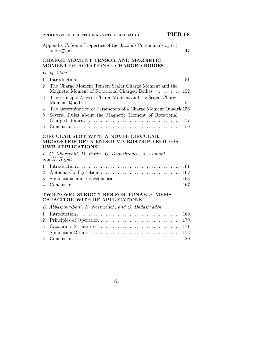|  | PROGRESS IN ELECTROMAGNETICS RESEARCH |  |
|--|---------------------------------------|--|
|  |                                       |  |

|                | Appendix C. Some Properties of the Jacobi's Polynomials $v_n^m(x)$                                          | 147 |
|----------------|-------------------------------------------------------------------------------------------------------------|-----|
|                | CHARGE MOMENT TENSOR AND MAGNETIC<br>MOMENT OF ROTATIONAL CHARGED BODIES                                    |     |
|                | $G.-Q.$ Zhou                                                                                                |     |
| 1              |                                                                                                             | 151 |
| $\overline{2}$ | The Charge Moment Tensor, Scalar Charge Moment and the<br>Magnetic Moment of Rotational Charged Bodies      | 152 |
| 3              | The Principal Axes of Charge Moment and the Scalar Charge                                                   | 154 |
| 4              | The Determination of Parameters of a Charge Moment Quadric156                                               |     |
| 5              | Several Rules about the Magnetic Moment of Rotational                                                       |     |
|                |                                                                                                             | 157 |
| 6              |                                                                                                             | 159 |
|                | CIRCULAR SLOT WITH A NOVEL CIRCULAR<br>MICROSTRIP OPEN ENDED MICROSTRIP FEED FOR<br><b>UWB APPLICATIONS</b> |     |
|                | F. G. Kharakhili, M. Fardis, G. Dadashzadeh, A. Ahmadi<br>and N. Hojjat                                     |     |
| 1              |                                                                                                             | 161 |
| $\overline{2}$ |                                                                                                             | 162 |
| 3              | Simulations and Experimental                                                                                | 163 |
| 4              |                                                                                                             | 167 |
|                |                                                                                                             |     |
|                | TWO NOVEL STRUCTURES FOR TUNABLE MEMS<br><b>CAPACITOR WITH RF APPLICATIONS</b>                              |     |
|                | E. Abbaspour-Sani, N. Nasirzadeh, and G. Dadashzadeh                                                        |     |
| 1              |                                                                                                             | 169 |
| $\overline{2}$ |                                                                                                             | 170 |
| 3              |                                                                                                             | 171 |
| 4              |                                                                                                             | 173 |

vii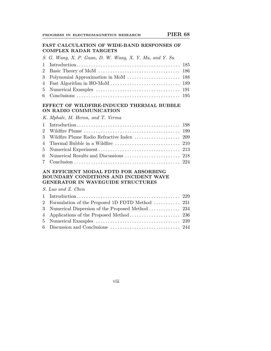### **FAST CALCULATION OF WIDE-BAND RESPONSES OF COMPLEX RADAR TARGETS**

| S. G. Wang, X. P. Guan, D. W. Wang, X. Y. Ma, and Y. Su |  |
|---------------------------------------------------------|--|
|                                                         |  |
|                                                         |  |
|                                                         |  |
|                                                         |  |
|                                                         |  |
|                                                         |  |

# **EFFECT OF WILDFIRE-INDUCED THERMAL BUBBLE ON RADIO COMMUNICATION**

| K. Mphale, M. Heron, and T. Verma |  |  |  |
|-----------------------------------|--|--|--|
|                                   |  |  |  |

# **AN EFFICIENT MODAL FDTD FOR ABSORBING BOUNDARY CONDITIONS AND INCIDENT WAVE GENERATOR IN WAVEGUIDE STRUCTURES**

## S. Luo and Z. Chen

| 2 Formulation of the Proposed 1D FDTD Method  231 |  |
|---------------------------------------------------|--|
|                                                   |  |
|                                                   |  |
|                                                   |  |
|                                                   |  |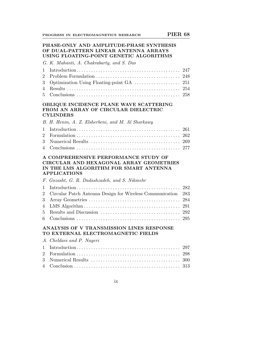## **PHASE-ONLY AND AMPLITUDE-PHASE SYNTHESIS OF DUAL-PATTERN LINEAR ANTENNA ARRAYS USING FLOATING-POINT GENETIC ALGORITHMS**

G. K. Mahanti, A. Chakrabarty, and S. Das

# **OBLIQUE INCIDENCE PLANE WAVE SCATTERING FROM AN ARRAY OF CIRCULAR DIELECTRIC CYLINDERS**

|  |  |  |  |  | B. H. Henin, A. Z. Elsherbeni, and M. Al Sharkawy |  |  |  |  |
|--|--|--|--|--|---------------------------------------------------|--|--|--|--|
|--|--|--|--|--|---------------------------------------------------|--|--|--|--|

## **A COMPREHENSIVE PERFORMANCE STUDY OF CIRCULAR AND HEXAGONAL ARRAY GEOMETRIES IN THE LMS ALGORITHM FOR SMART ANTENNA APPLICATIONS**

|  |  | F. Gozasht, G. R. Dadashzadeh, and S. Nikmehr |  |
|--|--|-----------------------------------------------|--|
|  |  |                                               |  |

| 2 Circular Patch Antenna Design for Wireless Communication 283 |  |
|----------------------------------------------------------------|--|
|                                                                |  |
|                                                                |  |
|                                                                |  |
|                                                                |  |

#### **ANALYSIS OF V TRANSMISSION LINES RESPONSE TO EXTERNAL ELECTROMAGNETIC FIELDS**

|  | A. Cheldavi and P. Nayeri |  |  |  |  |
|--|---------------------------|--|--|--|--|
|--|---------------------------|--|--|--|--|

ix